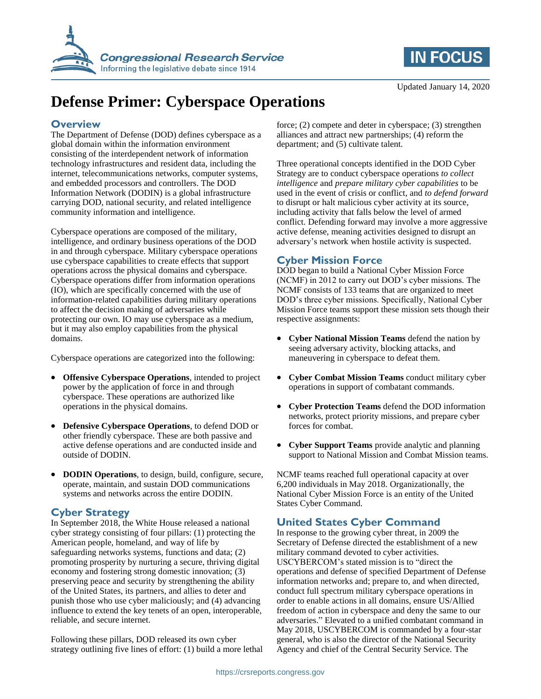



# **Defense Primer: Cyberspace Operations**

## **Overview**

The Department of Defense (DOD) defines cyberspace as a global domain within the information environment consisting of the interdependent network of information technology infrastructures and resident data, including the internet, telecommunications networks, computer systems, and embedded processors and controllers. The DOD Information Network (DODIN) is a global infrastructure carrying DOD, national security, and related intelligence community information and intelligence.

Cyberspace operations are composed of the military, intelligence, and ordinary business operations of the DOD in and through cyberspace. Military cyberspace operations use cyberspace capabilities to create effects that support operations across the physical domains and cyberspace. Cyberspace operations differ from information operations (IO), which are specifically concerned with the use of information-related capabilities during military operations to affect the decision making of adversaries while protecting our own. IO may use cyberspace as a medium, but it may also employ capabilities from the physical domains.

Cyberspace operations are categorized into the following:

- **Offensive Cyberspace Operations**, intended to project power by the application of force in and through cyberspace. These operations are authorized like operations in the physical domains.
- **Defensive Cyberspace Operations**, to defend DOD or other friendly cyberspace. These are both passive and active defense operations and are conducted inside and outside of DODIN.
- **DODIN Operations**, to design, build, configure, secure, operate, maintain, and sustain DOD communications systems and networks across the entire DODIN.

## **Cyber Strategy**

In September 2018, the White House released a national cyber strategy consisting of four pillars: (1) protecting the American people, homeland, and way of life by safeguarding networks systems, functions and data; (2) promoting prosperity by nurturing a secure, thriving digital economy and fostering strong domestic innovation; (3) preserving peace and security by strengthening the ability of the United States, its partners, and allies to deter and punish those who use cyber maliciously; and (4) advancing influence to extend the key tenets of an open, interoperable, reliable, and secure internet.

Following these pillars, DOD released its own cyber strategy outlining five lines of effort: (1) build a more lethal force; (2) compete and deter in cyberspace; (3) strengthen alliances and attract new partnerships; (4) reform the department; and (5) cultivate talent.

Three operational concepts identified in the DOD Cyber Strategy are to conduct cyberspace operations *to collect intelligence* and *prepare military cyber capabilities* to be used in the event of crisis or conflict, and *to defend forward* to disrupt or halt malicious cyber activity at its source, including activity that falls below the level of armed conflict. Defending forward may involve a more aggressive active defense, meaning activities designed to disrupt an adversary's network when hostile activity is suspected.

## **Cyber Mission Force**

DOD began to build a National Cyber Mission Force (NCMF) in 2012 to carry out DOD's cyber missions. The NCMF consists of 133 teams that are organized to meet DOD's three cyber missions. Specifically, National Cyber Mission Force teams support these mission sets though their respective assignments:

- **Cyber National Mission Teams** defend the nation by seeing adversary activity, blocking attacks, and maneuvering in cyberspace to defeat them.
- **Cyber Combat Mission Teams** conduct military cyber operations in support of combatant commands.
- **Cyber Protection Teams** defend the DOD information networks, protect priority missions, and prepare cyber forces for combat.
- **Cyber Support Teams** provide analytic and planning support to National Mission and Combat Mission teams.

NCMF teams reached full operational capacity at over 6,200 individuals in May 2018. Organizationally, the National Cyber Mission Force is an entity of the United States Cyber Command.

## **United States Cyber Command**

In response to the growing cyber threat, in 2009 the Secretary of Defense directed the establishment of a new military command devoted to cyber activities. USCYBERCOM's stated mission is to "direct the operations and defense of specified Department of Defense information networks and; prepare to, and when directed, conduct full spectrum military cyberspace operations in order to enable actions in all domains, ensure US/Allied freedom of action in cyberspace and deny the same to our adversaries." Elevated to a unified combatant command in May 2018, USCYBERCOM is commanded by a four-star general, who is also the director of the National Security Agency and chief of the Central Security Service. The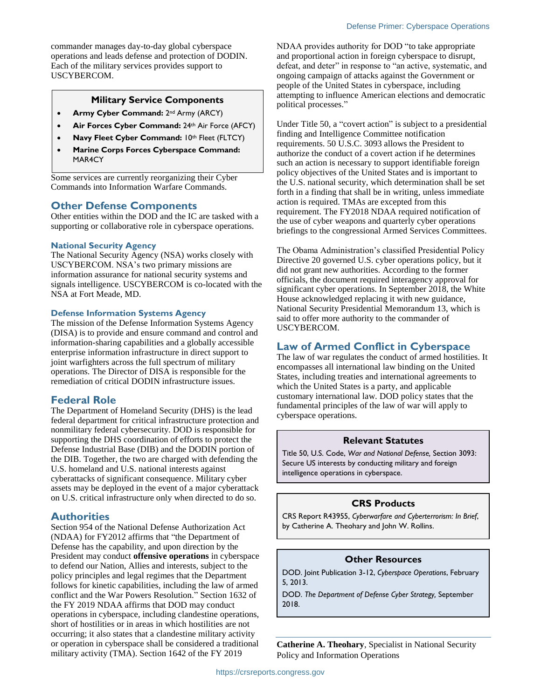commander manages day-to-day global cyberspace operations and leads defense and protection of DODIN. Each of the military services provides support to USCYBERCOM.

#### **Military Service Components**

- **Army Cyber Command:** 2<sup>nd</sup> Army (ARCY)
- **Air Forces Cyber Command:** 24th Air Force (AFCY)
- Navy Fleet Cyber Command: 10th Fleet (FLTCY)
- **Marine Corps Forces Cyberspace Command:** MAR4CY

Some services are currently reorganizing their Cyber Commands into Information Warfare Commands.

## **Other Defense Components**

Other entities within the DOD and the IC are tasked with a supporting or collaborative role in cyberspace operations.

#### **National Security Agency**

The National Security Agency (NSA) works closely with USCYBERCOM. NSA's two primary missions are information assurance for national security systems and signals intelligence. USCYBERCOM is co-located with the NSA at Fort Meade, MD.

#### **Defense Information Systems Agency**

The mission of the Defense Information Systems Agency (DISA) is to provide and ensure command and control and information-sharing capabilities and a globally accessible enterprise information infrastructure in direct support to joint warfighters across the full spectrum of military operations. The Director of DISA is responsible for the remediation of critical DODIN infrastructure issues.

## **Federal Role**

The Department of Homeland Security (DHS) is the lead federal department for critical infrastructure protection and nonmilitary federal cybersecurity. DOD is responsible for supporting the DHS coordination of efforts to protect the Defense Industrial Base (DIB) and the DODIN portion of the DIB. Together, the two are charged with defending the U.S. homeland and U.S. national interests against cyberattacks of significant consequence. Military cyber assets may be deployed in the event of a major cyberattack on U.S. critical infrastructure only when directed to do so.

## **Authorities**

Section 954 of the National Defense Authorization Act (NDAA) for FY2012 affirms that "the Department of Defense has the capability, and upon direction by the President may conduct **offensive operations** in cyberspace to defend our Nation, Allies and interests, subject to the policy principles and legal regimes that the Department follows for kinetic capabilities, including the law of armed conflict and the War Powers Resolution." Section 1632 of the FY 2019 NDAA affirms that DOD may conduct operations in cyberspace, including clandestine operations, short of hostilities or in areas in which hostilities are not occurring; it also states that a clandestine military activity or operation in cyberspace shall be considered a traditional military activity (TMA). Section 1642 of the FY 2019

NDAA provides authority for DOD "to take appropriate and proportional action in foreign cyberspace to disrupt, defeat, and deter" in response to "an active, systematic, and ongoing campaign of attacks against the Government or people of the United States in cyberspace, including attempting to influence American elections and democratic political processes."

Under Title 50, a "covert action" is subject to a presidential finding and Intelligence Committee notification requirements. 50 U.S.C. 3093 allows the President to authorize the conduct of a covert action if he determines such an action is necessary to support identifiable foreign policy objectives of the United States and is important to the U.S. national security, which determination shall be set forth in a finding that shall be in writing, unless immediate action is required. TMAs are excepted from this requirement. The FY2018 NDAA required notification of the use of cyber weapons and quarterly cyber operations briefings to the congressional Armed Services Committees.

The Obama Administration's classified Presidential Policy Directive 20 governed U.S. cyber operations policy, but it did not grant new authorities. According to the former officials, the document required interagency approval for significant cyber operations. In September 2018, the White House acknowledged replacing it with new guidance, National Security Presidential Memorandum 13, which is said to offer more authority to the commander of USCYBERCOM.

## **Law of Armed Conflict in Cyberspace**

The law of war regulates the conduct of armed hostilities. It encompasses all international law binding on the United States, including treaties and international agreements to which the United States is a party, and applicable customary international law. DOD policy states that the fundamental principles of the law of war will apply to cyberspace operations.

#### **Relevant Statutes**

Title 50, U.S. Code, *War and National Defense,* Section 3093: Secure US interests by conducting military and foreign intelligence operations in cyberspace.

## **CRS Products**

CRS Report R43955, *Cyberwarfare and Cyberterrorism: In Brief*, by Catherine A. Theohary and John W. Rollins.

#### **Other Resources**

DOD. Joint Publication 3-12, *Cyberspace Operations*, February 5, 2013.

DOD. *The Department of Defense Cyber Strategy,* September 2018.

**Catherine A. Theohary**, Specialist in National Security Policy and Information Operations